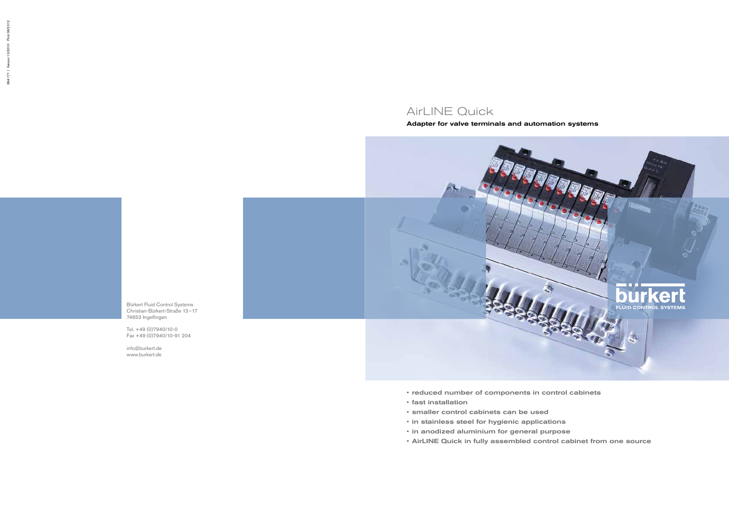# AirLINE Quick

## Adapter for valve terminals and automation systems



Bürkert Fluid Control Systems Christian-Bürkert-Straße 13–17 74653 Ingelfingen

Tel. +49 (0)7940/10-0 Fax +49 (0)7940/10-91 204

info@burkert.de www.burkert.de

- reduced number of components in control cabinets
- fast installation
- smaller control cabinets can be used
- in stainless steel for hygienic applications
- in anodized aluminium for general purpose
- AirLINE Quick in fully assembled control cabinet from one source